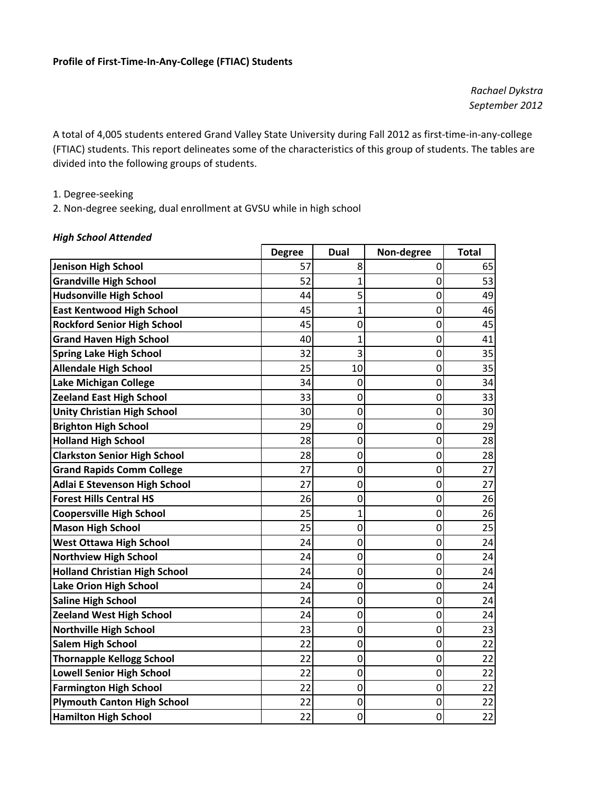*Rachael Dykstra September 2012*

A total of 4,005 students entered Grand Valley State University during Fall 2012 as first‐time‐in‐any‐college (FTIAC) students. This report delineates some of the characteristics of this group of students. The tables are divided into the following groups of students.

1. Degree‐seeking

2. Non‐degree seeking, dual enrollment at GVSU while in high school

#### *High School Attended*

|                                      | <b>Degree</b> | <b>Dual</b>    | Non-degree     | <b>Total</b> |
|--------------------------------------|---------------|----------------|----------------|--------------|
| <b>Jenison High School</b>           | 57            | 8              | 0              | 65           |
| <b>Grandville High School</b>        | 52            | 1              | 0              | 53           |
| <b>Hudsonville High School</b>       | 44            | 5              | $\overline{0}$ | 49           |
| <b>East Kentwood High School</b>     | 45            | 1              | 0              | 46           |
| <b>Rockford Senior High School</b>   | 45            | $\mathbf 0$    | 0              | 45           |
| <b>Grand Haven High School</b>       | 40            | 1              | 0              | 41           |
| <b>Spring Lake High School</b>       | 32            | 3              | $\mathbf 0$    | 35           |
| <b>Allendale High School</b>         | 25            | 10             | $\mathbf 0$    | 35           |
| <b>Lake Michigan College</b>         | 34            | $\mathbf 0$    | $\mathbf 0$    | 34           |
| <b>Zeeland East High School</b>      | 33            | 0              | $\overline{0}$ | 33           |
| <b>Unity Christian High School</b>   | 30            | $\mathbf 0$    | 0              | 30           |
| <b>Brighton High School</b>          | 29            | 0              | $\mathbf 0$    | 29           |
| <b>Holland High School</b>           | 28            | $\overline{0}$ | $\overline{0}$ | 28           |
| <b>Clarkston Senior High School</b>  | 28            | $\mathbf 0$    | $\mathbf 0$    | 28           |
| <b>Grand Rapids Comm College</b>     | 27            | $\mathbf 0$    | 0              | 27           |
| <b>Adlai E Stevenson High School</b> | 27            | $\mathbf 0$    | 0              | 27           |
| <b>Forest Hills Central HS</b>       | 26            | $\mathbf 0$    | 0              | 26           |
| <b>Coopersville High School</b>      | 25            | 1              | $\overline{0}$ | 26           |
| <b>Mason High School</b>             | 25            | $\mathbf 0$    | $\mathbf 0$    | 25           |
| <b>West Ottawa High School</b>       | 24            | $\mathbf 0$    | $\mathbf 0$    | 24           |
| <b>Northview High School</b>         | 24            | 0              | $\overline{0}$ | 24           |
| <b>Holland Christian High School</b> | 24            | $\mathbf 0$    | $\mathbf 0$    | 24           |
| <b>Lake Orion High School</b>        | 24            | 0              | $\mathbf 0$    | 24           |
| <b>Saline High School</b>            | 24            | 0              | 0              | 24           |
| <b>Zeeland West High School</b>      | 24            | $\mathbf 0$    | $\overline{0}$ | 24           |
| <b>Northville High School</b>        | 23            | $\mathbf 0$    | $\mathbf 0$    | 23           |
| <b>Salem High School</b>             | 22            | 0              | $\mathbf 0$    | 22           |
| <b>Thornapple Kellogg School</b>     | 22            | $\mathbf 0$    | $\mathbf 0$    | 22           |
| <b>Lowell Senior High School</b>     | 22            | 0              | $\overline{0}$ | 22           |
| <b>Farmington High School</b>        | 22            | $\mathbf 0$    | $\mathbf 0$    | 22           |
| <b>Plymouth Canton High School</b>   | 22            | $\mathbf 0$    | 0              | 22           |
| <b>Hamilton High School</b>          | 22            | $\mathbf 0$    | $\mathbf 0$    | 22           |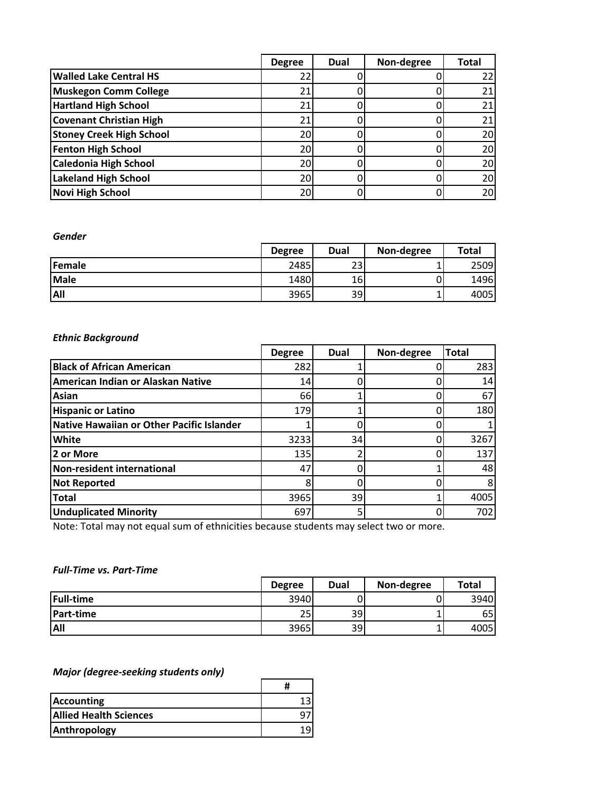|                                 | <b>Degree</b> | Dual | Non-degree | <b>Total</b> |
|---------------------------------|---------------|------|------------|--------------|
| <b>Walled Lake Central HS</b>   | 22            |      |            |              |
| <b>Muskegon Comm College</b>    | 21            |      |            |              |
| <b>Hartland High School</b>     | 21            |      |            |              |
| <b>Covenant Christian High</b>  | 21            |      |            |              |
| <b>Stoney Creek High School</b> | 20            |      |            | 20           |
| <b>Fenton High School</b>       | 20            |      |            | 20           |
| <b>Caledonia High School</b>    | 20            |      |            | 20           |
| <b>Lakeland High School</b>     | 20            |      |            | 20           |
| <b>Novi High School</b>         | 20            |      |            | 20           |

*Gender*

|             | <b>Degree</b> | Dual      | Non-degree | Total |
|-------------|---------------|-----------|------------|-------|
| Female      | 2485          | າາ<br>25. |            | 2509  |
| <b>Male</b> | 1480          | 161       |            | 1496  |
| <b>All</b>  | 3965          | 39        |            | 4005  |

# *Ethnic Background*

|                                           | <b>Degree</b> | <b>Dual</b> | Non-degree | <b>Total</b> |
|-------------------------------------------|---------------|-------------|------------|--------------|
| <b>Black of African American</b>          | 282           |             |            | 283          |
| American Indian or Alaskan Native         | 14            |             |            | 14           |
| Asian                                     | 66            |             |            | 67           |
| <b>Hispanic or Latino</b>                 | 179           |             |            | 180          |
| Native Hawaiian or Other Pacific Islander |               |             |            |              |
| <b>White</b>                              | 3233          | 34          |            | 3267         |
| 2 or More                                 | 135           |             |            | 137          |
| Non-resident international                | 47            |             |            | 48           |
| <b>Not Reported</b>                       |               |             |            | 8            |
| <b>Total</b>                              | 3965          | 39          |            | 4005         |
| <b>Unduplicated Minority</b>              | 697           |             |            | 702          |

Note: Total may not equal sum of ethnicities because students may select two or more.

### *Full‐Time vs. Part‐Time*

|                  | <b>Degree</b> | Dual | Non-degree | Total |
|------------------|---------------|------|------------|-------|
| <b>Full-time</b> | 3940          | J'   |            | 3940  |
| <b>Part-time</b> | 25            | 39   |            | 65    |
| <b>All</b>       | 3965          | 39   |            | 4005  |

### *Major (degree‐seeking students only)*

| <b>Accounting</b>             |  |
|-------------------------------|--|
| <b>Allied Health Sciences</b> |  |
| Anthropology                  |  |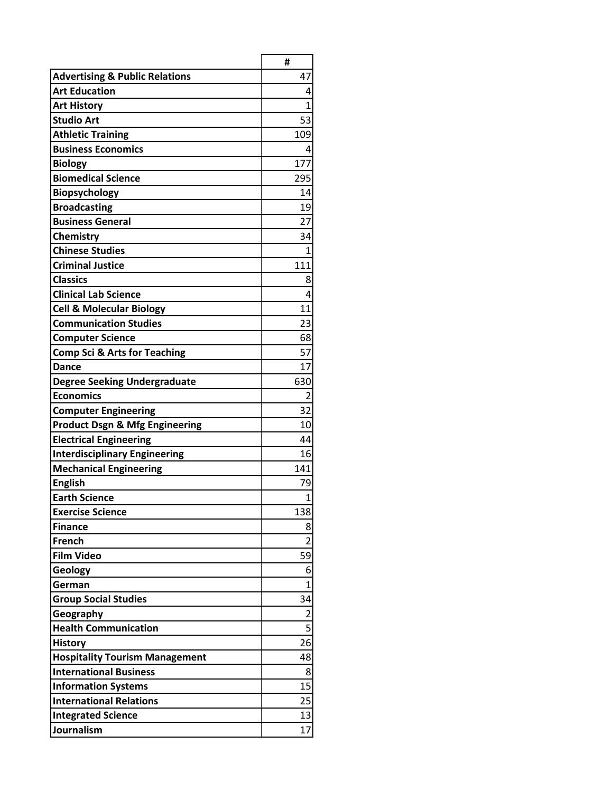|                                           | #              |
|-------------------------------------------|----------------|
| <b>Advertising &amp; Public Relations</b> | 47             |
| <b>Art Education</b>                      | 4              |
| <b>Art History</b>                        | $\overline{1}$ |
| <b>Studio Art</b>                         | 53             |
| <b>Athletic Training</b>                  | 109            |
| <b>Business Economics</b>                 | 4              |
| <b>Biology</b>                            | 177            |
| <b>Biomedical Science</b>                 | 295            |
| Biopsychology                             | 14             |
| <b>Broadcasting</b>                       | 19             |
| <b>Business General</b>                   | 27             |
| Chemistry                                 | 34             |
| <b>Chinese Studies</b>                    | $\mathbf{1}$   |
| <b>Criminal Justice</b>                   | 111            |
| <b>Classics</b>                           | 8              |
| <b>Clinical Lab Science</b>               | 4              |
| <b>Cell &amp; Molecular Biology</b>       | 11             |
| <b>Communication Studies</b>              | 23             |
| <b>Computer Science</b>                   | 68             |
| <b>Comp Sci &amp; Arts for Teaching</b>   | 57             |
| Dance                                     | 17             |
| <b>Degree Seeking Undergraduate</b>       | 630            |
| <b>Economics</b>                          | 2              |
| <b>Computer Engineering</b>               | 32             |
| <b>Product Dsgn &amp; Mfg Engineering</b> | 10             |
| <b>Electrical Engineering</b>             | 44             |
| <b>Interdisciplinary Engineering</b>      | 16             |
| <b>Mechanical Engineering</b>             | 141            |
| <b>English</b>                            | 79             |
| <b>Earth Science</b>                      | $\overline{1}$ |
| <b>Exercise Science</b>                   | 138            |
| <b>Finance</b>                            | 8              |
| <b>French</b>                             | 2              |
| <b>Film Video</b>                         | 59             |
| Geology                                   | 6              |
| German                                    | $\overline{1}$ |
| <b>Group Social Studies</b>               | 34             |
| Geography                                 | $\overline{2}$ |
| <b>Health Communication</b>               | 5              |
| <b>History</b>                            | 26             |
| <b>Hospitality Tourism Management</b>     | 48             |
| <b>International Business</b>             | 8              |
| <b>Information Systems</b>                | 15             |
| <b>International Relations</b>            | 25             |
| <b>Integrated Science</b>                 | 13             |
| Journalism                                | 17             |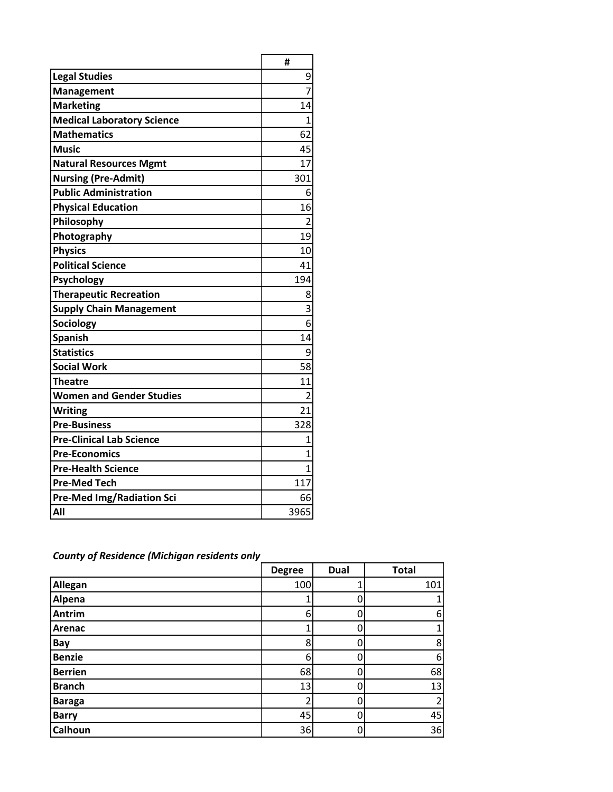|                                   | #              |
|-----------------------------------|----------------|
| <b>Legal Studies</b>              | 9              |
| <b>Management</b>                 | $\overline{7}$ |
| <b>Marketing</b>                  | 14             |
| <b>Medical Laboratory Science</b> | 1              |
| <b>Mathematics</b>                | 62             |
| <b>Music</b>                      | 45             |
| <b>Natural Resources Mgmt</b>     | 17             |
| <b>Nursing (Pre-Admit)</b>        | 301            |
| <b>Public Administration</b>      | 6              |
| <b>Physical Education</b>         | 16             |
| Philosophy                        | $\overline{2}$ |
| Photography                       | 19             |
| <b>Physics</b>                    | 10             |
| <b>Political Science</b>          | 41             |
| Psychology                        | 194            |
| <b>Therapeutic Recreation</b>     | 8              |
| <b>Supply Chain Management</b>    | 3              |
| <b>Sociology</b>                  | 6              |
| <b>Spanish</b>                    | 14             |
| <b>Statistics</b>                 | 9              |
| <b>Social Work</b>                | 58             |
| Theatre                           | 11             |
| <b>Women and Gender Studies</b>   | 2              |
| <b>Writing</b>                    | 21             |
| <b>Pre-Business</b>               | 328            |
| <b>Pre-Clinical Lab Science</b>   | $\overline{1}$ |
| <b>Pre-Economics</b>              | 1              |
| <b>Pre-Health Science</b>         | 1              |
| <b>Pre-Med Tech</b>               | 117            |
| <b>Pre-Med Img/Radiation Sci</b>  | 66             |
| All                               | 3965           |

|                | <b>Degree</b> | <b>Dual</b> | <b>Total</b> |
|----------------|---------------|-------------|--------------|
| Allegan        | 100           |             | 101          |
| Alpena         |               | 0           | 1            |
| <b>Antrim</b>  | 6             | Ω           | 6            |
| Arenac         |               |             | 1            |
| Bay            | 8             |             | 8            |
| <b>Benzie</b>  | 6             |             | 6            |
| <b>Berrien</b> | 68            |             | 68           |
| <b>Branch</b>  | 13            |             | 13           |
| <b>Baraga</b>  |               |             | 2            |
| <b>Barry</b>   | 45            | 0           | 45           |
| Calhoun        | 36            | 0           | 36           |

*County of Residence (Michigan residents only*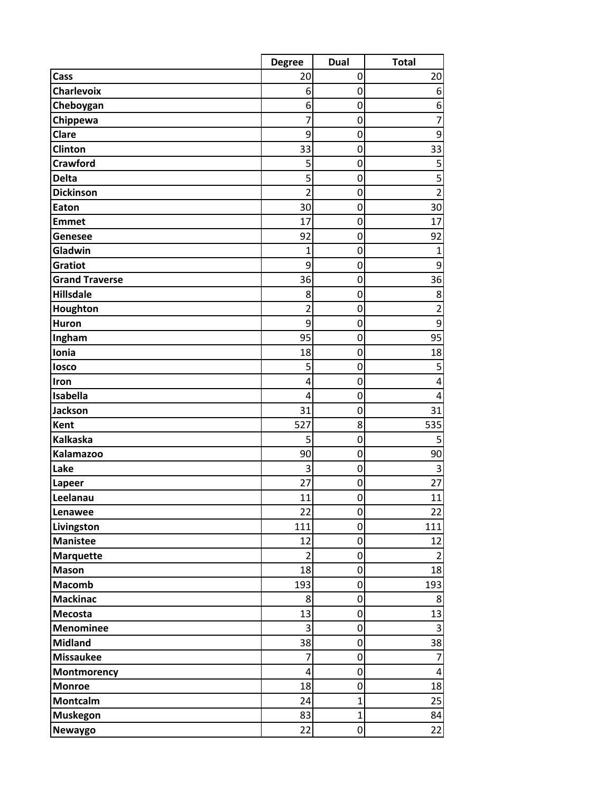|                       | <b>Degree</b>  | <b>Dual</b>      | <b>Total</b>            |
|-----------------------|----------------|------------------|-------------------------|
| Cass                  | 20             | 0                | 20                      |
| <b>Charlevoix</b>     | 6              | 0                | $\boldsymbol{6}$        |
| Cheboygan             | 6              | $\mathbf 0$      | 6                       |
| Chippewa              | 7              | 0                | $\overline{7}$          |
| Clare                 | 9              | 0                | 9                       |
| Clinton               | 33             | 0                | 33                      |
| <b>Crawford</b>       | 5              | 0                | 5                       |
| <b>Delta</b>          | 5              | $\mathbf{0}$     | $\overline{5}$          |
| <b>Dickinson</b>      | $\overline{2}$ | $\mathbf 0$      | $\overline{2}$          |
| Eaton                 | 30             | $\mathbf 0$      | 30                      |
| <b>Emmet</b>          | 17             | 0                | 17                      |
| Genesee               | 92             | 0                | 92                      |
| Gladwin               | $\mathbf{1}$   | 0                | $\mathbf{1}$            |
| Gratiot               | 9              | 0                | $\boldsymbol{9}$        |
| <b>Grand Traverse</b> | 36             | $\mathbf 0$      | 36                      |
| Hillsdale             | 8              | $\mathbf 0$      | 8                       |
| Houghton              | $\overline{2}$ | $\mathbf 0$      | $\overline{2}$          |
| <b>Huron</b>          | 9              | 0                | 9                       |
| Ingham                | 95             | $\mathbf 0$      | 95                      |
| Ionia                 | 18             | 0                | 18                      |
| losco                 | 5              | 0                | 5                       |
| Iron                  | 4              | $\mathbf 0$      | 4                       |
| Isabella              | 4              | 0                | $\overline{4}$          |
| Jackson               | 31             | 0                | 31                      |
| Kent                  | 527            | 8                | 535                     |
| <b>Kalkaska</b>       | 5              | $\mathbf 0$      | 5                       |
| <b>Kalamazoo</b>      | 90             | $\mathbf 0$      | 90                      |
| Lake                  | 3              | 0                | $\overline{3}$          |
| Lapeer<br>Leelanau    | 27<br>11       | 0<br>0           | 27<br>11                |
| Lenawee               | 22             | 0                | 22                      |
| Livingston            | 111            | 0                | 111                     |
| <b>Manistee</b>       | 12             | $\mathbf 0$      | 12                      |
| <b>Marquette</b>      | 2              | $\pmb{0}$        | $\overline{2}$          |
| <b>Mason</b>          | 18             | $\boldsymbol{0}$ | 18                      |
| <b>Macomb</b>         | 193            | 0                | 193                     |
| <b>Mackinac</b>       | 8              | 0                | 8                       |
| Mecosta               | 13             | 0                | 13                      |
| <b>Menominee</b>      | 3              | $\mathbf 0$      | $\overline{\mathbf{3}}$ |
| <b>Midland</b>        | 38             | $\mathbf 0$      | 38                      |
| <b>Missaukee</b>      | 7              | 0                | $\overline{7}$          |
| Montmorency           | $\overline{4}$ | 0                | $\overline{\mathbf{4}}$ |
| <b>Monroe</b>         | 18             | 0                | 18                      |
| Montcalm              | 24             | $\mathbf{1}$     | 25                      |
| <b>Muskegon</b>       | 83             | $\mathbf{1}$     | 84                      |
| Newaygo               | 22             | $\boldsymbol{0}$ | 22                      |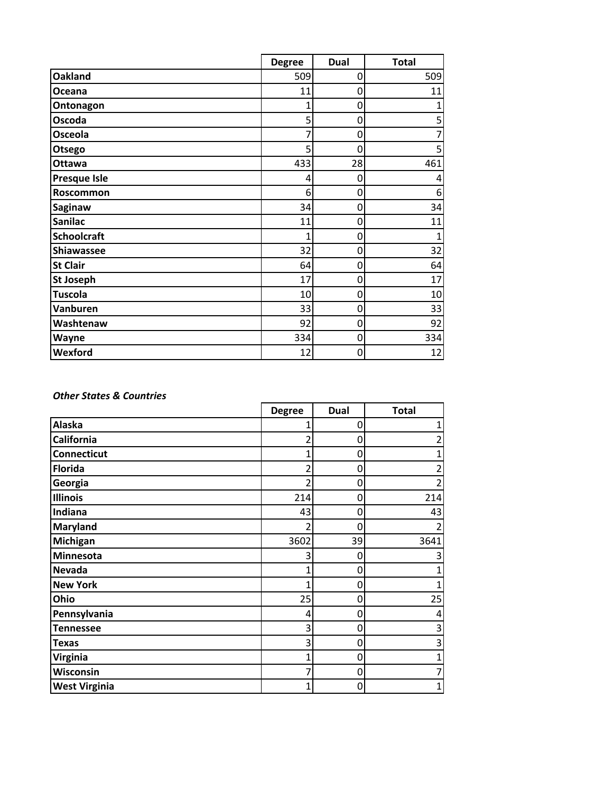|                     | <b>Degree</b>  | Dual | <b>Total</b> |
|---------------------|----------------|------|--------------|
| <b>Oakland</b>      | 509            | 0    | 509          |
| Oceana              | 11             | 0    | 11           |
| Ontonagon           | 1              | 0    |              |
| Oscoda              | 5              | 0    | 5            |
| <b>Osceola</b>      |                | 0    | 7            |
| Otsego              | 5              | 0    | 5            |
| Ottawa              | 433            | 28   | 461          |
| <b>Presque Isle</b> | $\overline{4}$ | 0    | 4            |
| Roscommon           | 6              | 0    | 6            |
| Saginaw             | 34             | 0    | 34           |
| <b>Sanilac</b>      | 11             | 0    | 11           |
| <b>Schoolcraft</b>  | 1              | 0    | 1            |
| <b>Shiawassee</b>   | 32             | 0    | 32           |
| <b>St Clair</b>     | 64             | 0    | 64           |
| <b>St Joseph</b>    | 17             | 0    | 17           |
| <b>Tuscola</b>      | 10             | 0    | 10           |
| Vanburen            | 33             | 0    | 33           |
| Washtenaw           | 92             | 0    | 92           |
| Wayne               | 334            | 0    | 334          |
| Wexford             | 12             | 0    | 12           |

#### *Other States & Countries*

|                      | <b>Degree</b>  | <b>Dual</b> | <b>Total</b> |
|----------------------|----------------|-------------|--------------|
| <b>Alaska</b>        | 1              | 0           |              |
| California           | $\overline{2}$ | 0           |              |
| <b>Connecticut</b>   | $\overline{1}$ | 0           |              |
| <b>Florida</b>       | $\overline{2}$ | 0           |              |
| Georgia              | 2              | 0           |              |
| <b>Illinois</b>      | 214            | 0           | 214          |
| Indiana              | 43             | 0           | 43           |
| <b>Maryland</b>      | 2              | 0           |              |
| Michigan             | 3602           | 39          | 3641         |
| Minnesota            | 3              | 0           |              |
| <b>Nevada</b>        | 1              | 0           |              |
| <b>New York</b>      | 1              | $\mathbf 0$ |              |
| Ohio                 | 25             | 0           | 25           |
| Pennsylvania         | 4              | 0           | 4            |
| <b>Tennessee</b>     | 3              | 0           | 3            |
| <b>Texas</b>         | 3              | 0           | 3            |
| Virginia             | $\mathbf{1}$   | 0           |              |
| Wisconsin            | 7              | 0           |              |
| <b>West Virginia</b> | $\mathbf{1}$   | 0           |              |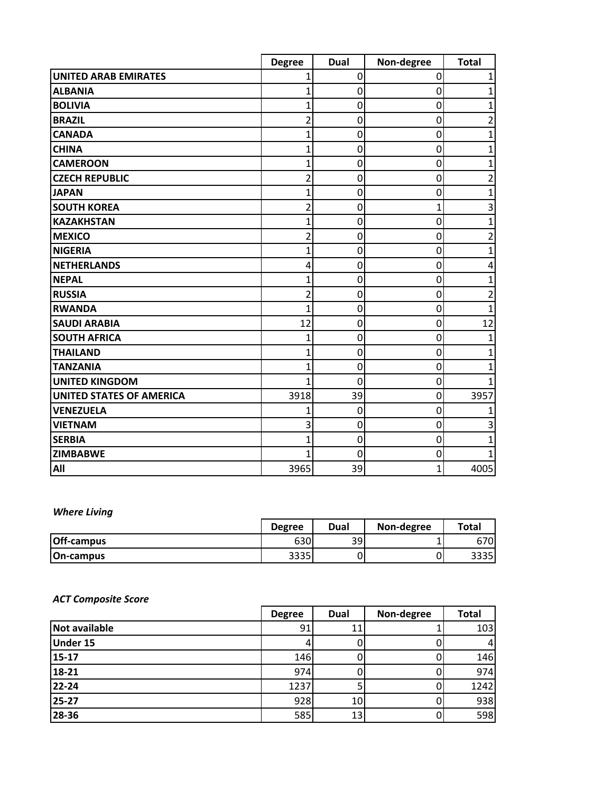|                                 | <b>Degree</b> | <b>Dual</b> | Non-degree  | <b>Total</b>   |
|---------------------------------|---------------|-------------|-------------|----------------|
| <b>UNITED ARAB EMIRATES</b>     |               | 0           | 0           | 1              |
| <b>ALBANIA</b>                  | 1             | 0           | 0           | 1              |
| <b>BOLIVIA</b>                  |               | $\mathbf 0$ | 0           | 1              |
| <b>BRAZIL</b>                   |               | $\mathbf 0$ | 0           | 2              |
| <b>CANADA</b>                   | 1             | 0           | 0           | 1              |
| <b>CHINA</b>                    | 1             | $\mathbf 0$ | 0           | 1              |
| <b>CAMEROON</b>                 | 1             | $\mathbf 0$ | 0           | 1              |
| <b>CZECH REPUBLIC</b>           | 2             | 0           | 0           | 2              |
| <b>JAPAN</b>                    |               | $\mathbf 0$ | 0           | 1              |
| <b>SOUTH KOREA</b>              | 2             | 0           | 1           | 3              |
| <b>KAZAKHSTAN</b>               | 1             | $\mathbf 0$ | $\mathbf 0$ | $\mathbf{1}$   |
| <b>MEXICO</b>                   | 2             | 0           | 0           | 2              |
| <b>NIGERIA</b>                  | 1             | 0           | 0           | 1              |
| <b>NETHERLANDS</b>              | 4             | $\mathbf 0$ | 0           | 4              |
| <b>NEPAL</b>                    | 1             | 0           | 0           | 1              |
| <b>RUSSIA</b>                   | 2             | 0           | 0           | $\overline{2}$ |
| <b>RWANDA</b>                   | 1             | $\mathbf 0$ | 0           | 1              |
| <b>SAUDI ARABIA</b>             | 12            | 0           | 0           | 12             |
| <b>SOUTH AFRICA</b>             | 1             | 0           | 0           | 1              |
| <b>THAILAND</b>                 |               | $\mathbf 0$ | 0           | 1              |
| <b>TANZANIA</b>                 |               | 0           | 0           | 1              |
| <b>UNITED KINGDOM</b>           | 1             | $\Omega$    | 0           |                |
| <b>UNITED STATES OF AMERICA</b> | 3918          | 39          | 0           | 3957           |
| <b>VENEZUELA</b>                |               | 0           | 0           |                |
| <b>VIETNAM</b>                  | 3             | 0           | 0           | 3              |
| <b>SERBIA</b>                   |               | $\mathbf 0$ | 0           | 1              |
| <b>ZIMBABWE</b>                 |               | $\mathbf 0$ | 0           |                |
| All                             | 3965          | 39          | 1           | 4005           |

## *Where Living*

|                   | <b>Degree</b> | Dual | Non-degree | <b>Total</b> |
|-------------------|---------------|------|------------|--------------|
| <b>Off-campus</b> | 630           | 39   |            | 6701         |
| <b>On-campus</b>  | 2225<br>וככככ |      |            | 3335         |

### *ACT Composite Score*

|                      | <b>Degree</b> | Dual | Non-degree | <b>Total</b> |
|----------------------|---------------|------|------------|--------------|
| <b>Not available</b> | 91            |      |            | 103          |
| <b>Under 15</b>      |               |      |            | 4            |
| 15-17                | 146           |      |            | 146          |
| 18-21                | 974           |      |            | 974          |
| 22-24                | 1237          |      |            | 1242         |
| 25-27                | 928           | 10   |            | 938          |
| 28-36                | 585           | 13   |            | 598          |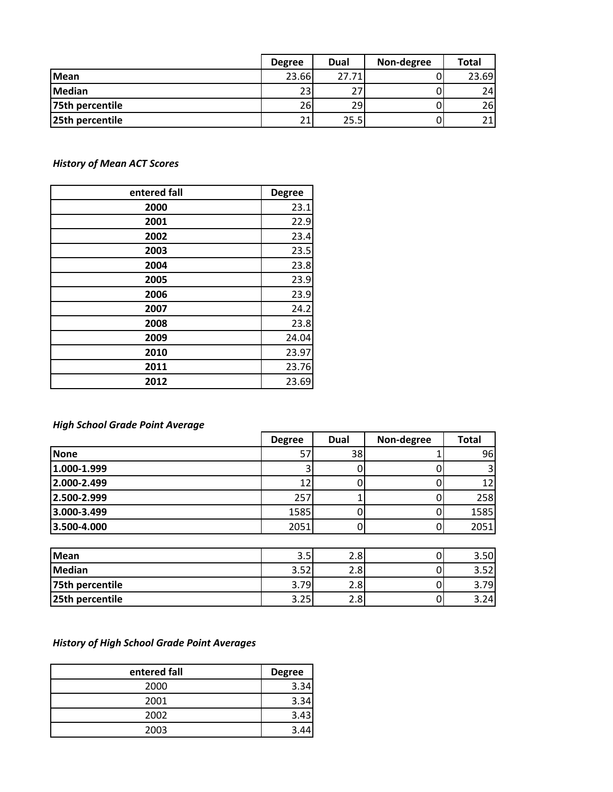|                 | <b>Degree</b> | <b>Dual</b> | Non-degree | <b>Total</b>    |
|-----------------|---------------|-------------|------------|-----------------|
| <b>IMean</b>    | 23.66         | 27.71       |            | 23.69           |
| Median          | 23            |             |            | 24              |
| 75th percentile | 26            | 29          |            | <b>26</b>       |
| 25th percentile | 21            | 25.5        |            | 21 <sub>1</sub> |

*History of Mean ACT Scores*

| entered fall | <b>Degree</b> |
|--------------|---------------|
| 2000         | 23.1          |
| 2001         | 22.9          |
| 2002         | 23.4          |
| 2003         | 23.5          |
| 2004         | 23.8          |
| 2005         | 23.9          |
| 2006         | 23.9          |
| 2007         | 24.2          |
| 2008         | 23.8          |
| 2009         | 24.04         |
| 2010         | 23.97         |
| 2011         | 23.76         |
| 2012         | 23.69         |

### *High School Grade Point Average*

|             | <b>Degree</b> | Dual | Non-degree | <b>Total</b> |
|-------------|---------------|------|------------|--------------|
| <b>None</b> | 57            | 38   |            | 96           |
| 1.000-1.999 |               |      |            | 3            |
| 2.000-2.499 | 12            |      |            | 12           |
| 2.500-2.999 | 257           |      |            | 258          |
| 3.000-3.499 | 1585          |      |            | 1585         |
| 3.500-4.000 | 2051          |      |            | 2051         |
|             |               |      |            |              |

| <b>Mean</b>     | 3.5             | $\sim$<br>z.ol | 3.50    |
|-----------------|-----------------|----------------|---------|
| <b>Median</b>   | 251<br>ا ے د. د | ◠<br>z.ol      | $ \sim$ |
| 75th percentile | .791            | ∽<br>z.ol      | 791     |
| 25th percentile | 3.25            | ∽<br>z.ol      | 3.241   |

# *History of High School Grade Point Averages*

| entered fall | <b>Degree</b> |
|--------------|---------------|
| 2000         | 3.34          |
| 2001         | 3.34          |
| 2002         | 3.43          |
| 2003         |               |